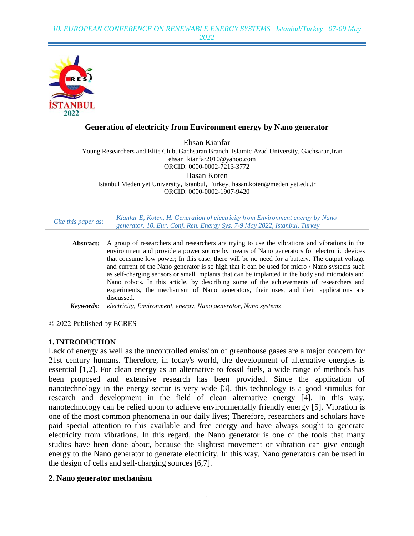

# **Generation of electricity from Environment energy by Nano generator**

Ehsan Kianfar Young Researchers and Elite Club, Gachsaran Branch, Islamic Azad University, Gachsaran,Iran ehsan\_kianfar2010@yahoo.com ORCID: 0000-0002-7213-3772 Hasan Koten Istanbul Medeniyet University, Istanbul, Turkey, [hasan.koten@medeniyet.edu.tr](mailto:hasan.koten@medeniyet.edu.tr) ORCID: 0000-0002-1907-9420

| Cite this paper as: | Kianfar E, Koten, H. Generation of electricity from Environment energy by Nano<br>generator. 10. Eur. Conf. Ren. Energy Sys. 7-9 May 2022, Istanbul, Turkey |
|---------------------|-------------------------------------------------------------------------------------------------------------------------------------------------------------|
|                     |                                                                                                                                                             |
| Abstract:           | A group of researchers and researchers are trying to use the vibrations and vibrations in the                                                               |
|                     | environment and provide a power source by means of Nano generators for electronic devices                                                                   |
|                     | that consume low power; In this case, there will be no need for a battery. The output voltage                                                               |
|                     | and current of the Nano generator is so high that it can be used for micro / Nano systems such                                                              |
|                     | as self-charging sensors or small implants that can be implanted in the body and microdots and                                                              |
|                     | Nano robots. In this article, by describing some of the achievements of researchers and                                                                     |
|                     | experiments, the mechanism of Nano generators, their uses, and their applications are                                                                       |
|                     | discussed.                                                                                                                                                  |
| Keywords:           | electricity, Environment, energy, Nano generator, Nano systems                                                                                              |

© 2022 Published by ECRES

## **1. INTRODUCTION**

Lack of energy as well as the uncontrolled emission of greenhouse gases are a major concern for 21st century humans. Therefore, in today's world, the development of alternative energies is essential [1,2]. For clean energy as an alternative to fossil fuels, a wide range of methods has been proposed and extensive research has been provided. Since the application of nanotechnology in the energy sector is very wide [3], this technology is a good stimulus for research and development in the field of clean alternative energy [4]. In this way, nanotechnology can be relied upon to achieve environmentally friendly energy [5]. Vibration is one of the most common phenomena in our daily lives; Therefore, researchers and scholars have paid special attention to this available and free energy and have always sought to generate electricity from vibrations. In this regard, the Nano generator is one of the tools that many studies have been done about, because the slightest movement or vibration can give enough energy to the Nano generator to generate electricity. In this way, Nano generators can be used in the design of cells and self-charging sources [6,7].

## **2. Nano generator mechanism**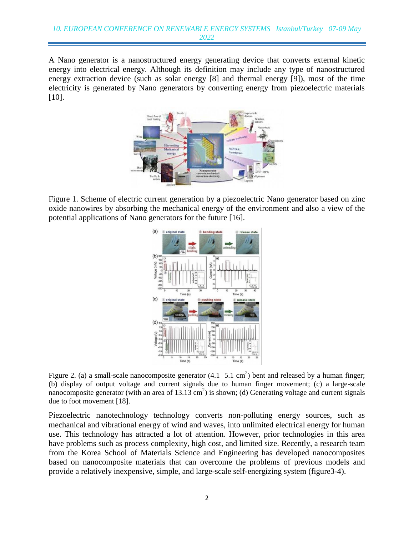A Nano generator is a nanostructured energy generating device that converts external kinetic energy into electrical energy. Although its definition may include any type of nanostructured energy extraction device (such as solar energy [8] and thermal energy [9]), most of the time electricity is generated by Nano generators by converting energy from piezoelectric materials [10].



Figure 1. Scheme of electric current generation by a piezoelectric Nano generator based on zinc oxide nanowires by absorbing the mechanical energy of the environment and also a view of the potential applications of Nano generators for the future [16].



Figure 2. (a) a small-scale nanocomposite generator  $(4.1 \t 5.1 \text{ cm}^2)$  bent and released by a human finger; (b) display of output voltage and current signals due to human finger movement; (c) a large-scale nanocomposite generator (with an area of  $13.13 \text{ cm}^2$ ) is shown; (d) Generating voltage and current signals due to foot movement [18].

Piezoelectric nanotechnology technology converts non-polluting energy sources, such as mechanical and vibrational energy of wind and waves, into unlimited electrical energy for human use. This technology has attracted a lot of attention. However, prior technologies in this area have problems such as process complexity, high cost, and limited size. Recently, a research team from the Korea School of Materials Science and Engineering has developed nanocomposites based on nanocomposite materials that can overcome the problems of previous models and provide a relatively inexpensive, simple, and large-scale self-energizing system (figure3-4).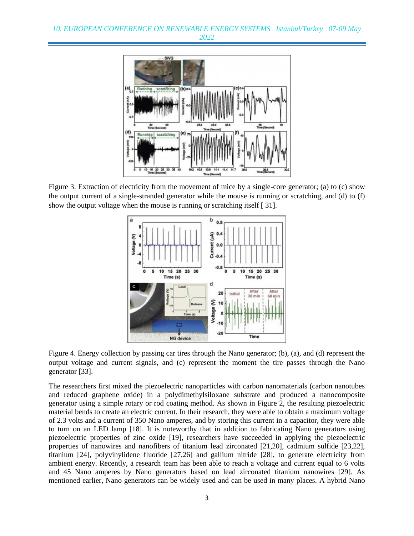

Figure 3. Extraction of electricity from the movement of mice by a single-core generator; (a) to (c) show the output current of a single-stranded generator while the mouse is running or scratching, and (d) to (f) show the output voltage when the mouse is running or scratching itself [ 31].



Figure 4. Energy collection by passing car tires through the Nano generator; (b), (a), and (d) represent the output voltage and current signals, and (c) represent the moment the tire passes through the Nano generator [33].

The researchers first mixed the piezoelectric nanoparticles with carbon nanomaterials (carbon nanotubes and reduced graphene oxide) in a polydimethylsiloxane substrate and produced a nanocomposite generator using a simple rotary or rod coating method. As shown in Figure 2, the resulting piezoelectric material bends to create an electric current. In their research, they were able to obtain a maximum voltage of 2.3 volts and a current of 350 Nano amperes, and by storing this current in a capacitor, they were able to turn on an LED lamp [18]. It is noteworthy that in addition to fabricating Nano generators using piezoelectric properties of zinc oxide [19], researchers have succeeded in applying the piezoelectric properties of nanowires and nanofibers of titanium lead zirconated [21,20], cadmium sulfide [23,22], titanium [24], polyvinylidene fluoride [27,26] and gallium nitride [28], to generate electricity from ambient energy. Recently, a research team has been able to reach a voltage and current equal to 6 volts and 45 Nano amperes by Nano generators based on lead zirconated titanium nanowires [29]. As mentioned earlier, Nano generators can be widely used and can be used in many places. A hybrid Nano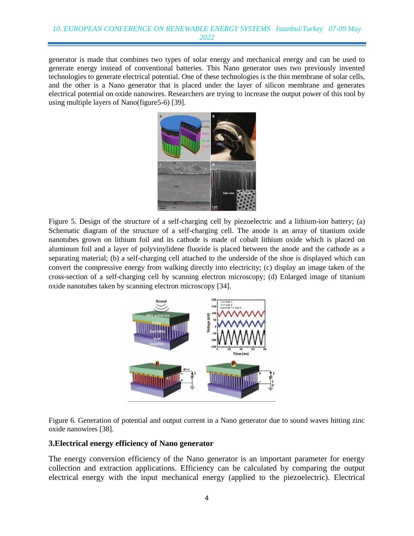generator is made that combines two types of solar energy and mechanical energy and can be used to generate energy instead of conventional batteries. This Nano generator uses two previously invented technologies to generate electrical potential. One of these technologies is the thin membrane of solar cells, and the other is a Nano generator that is placed under the layer of silicon membrane and generates electrical potential on oxide nanowires. Researchers are trying to increase the output power of this tool by using multiple layers of Nano(figure5-6) [39].



Figure 5. Design of the structure of a self-charging cell by piezoelectric and a lithium-ion battery; (a) Schematic diagram of the structure of a self-charging cell. The anode is an array of titanium oxide nanotubes grown on lithium foil and its cathode is made of cobalt lithium oxide which is placed on aluminum foil and a layer of polyvinylidene fluoride is placed between the anode and the cathode as a separating material; (b) a self-charging cell attached to the underside of the shoe is displayed which can convert the compressive energy from walking directly into electricity; (c) display an image taken of the cross-section of a self-charging cell by scanning electron microscopy; (d) Enlarged image of titanium oxide nanotubes taken by scanning electron microscopy [34].



Figure 6. Generation of potential and output current in a Nano generator due to sound waves hitting zinc oxide nanowires [38].

## **3.Electrical energy efficiency of Nano generator**

The energy conversion efficiency of the Nano generator is an important parameter for energy collection and extraction applications. Efficiency can be calculated by comparing the output electrical energy with the input mechanical energy (applied to the piezoelectric). Electrical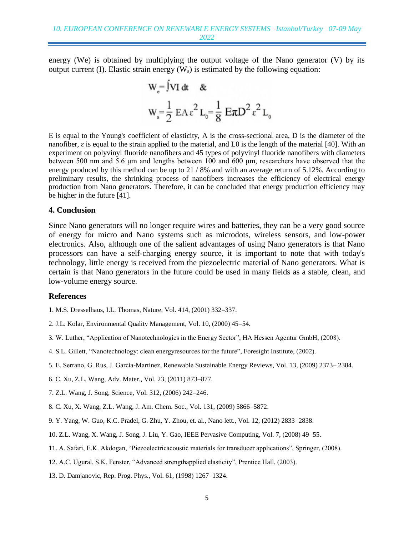energy (We) is obtained by multiplying the output voltage of the Nano generator (V) by its output current (I). Elastic strain energy  $(W_s)$  is estimated by the following equation:

$$
W_e = JVI dt \&
$$
  

$$
W_s = \frac{1}{2} E A \epsilon^2 L_0 = \frac{1}{8} E \pi D^2 \epsilon^2 L_0
$$

E is equal to the Young's coefficient of elasticity, A is the cross-sectional area, D is the diameter of the nanofiber,  $\varepsilon$  is equal to the strain applied to the material, and L0 is the length of the material [40]. With an experiment on polyvinyl fluoride nanofibers and 45 types of polyvinyl fluoride nanofibers with diameters between 500 nm and 5.6 μm and lengths between 100 and 600 μm, researchers have observed that the energy produced by this method can be up to 21 / 8% and with an average return of 5.12%. According to preliminary results, the shrinking process of nanofibers increases the efficiency of electrical energy production from Nano generators. Therefore, it can be concluded that energy production efficiency may be higher in the future [41].

#### **4. Conclusion**

Since Nano generators will no longer require wires and batteries, they can be a very good source of energy for micro and Nano systems such as microdots, wireless sensors, and low-power electronics. Also, although one of the salient advantages of using Nano generators is that Nano processors can have a self-charging energy source, it is important to note that with today's technology, little energy is received from the piezoelectric material of Nano generators. What is certain is that Nano generators in the future could be used in many fields as a stable, clean, and low-volume energy source.

#### **References**

- 1. M.S. Dresselhaus, I.L. Thomas, Nature, Vol. 414, (2001) 332–337.
- 2. J.L. Kolar, Environmental Quality Management, Vol. 10, (2000) 45–54.
- 3. W. Luther, "Application of Nanotechnologies in the Energy Sector", HA Hessen Agentur GmbH, (2008).
- 4. S.L. Gillett, "Nanotechnology: clean energyresources for the future", Foresight Institute, (2002).
- 5. E. Serrano, G. Rus, J. García-Martínez, Renewable Sustainable Energy Reviews, Vol. 13, (2009) 2373– 2384.
- 6. C. Xu, Z.L. Wang, Adv. Mater., Vol. 23, (2011) 873–877.
- 7. Z.L. Wang, J. Song, Science, Vol. 312, (2006) 242–246.
- 8. C. Xu, X. Wang, Z.L. Wang, J. Am. Chem. Soc., Vol. 131, (2009) 5866–5872.
- 9. Y. Yang, W. Guo, K.C. Pradel, G. Zhu, Y. Zhou, et. al., Nano lett., Vol. 12, (2012) 2833–2838.
- 10. Z.L. Wang, X. Wang, J. Song, J. Liu, Y. Gao, IEEE Pervasive Computing, Vol. 7, (2008) 49–55.
- 11. A. Safari, E.K. Akdogan, "Piezoelectricacoustic materials for transducer applications", Springer, (2008).
- 12. A.C. Ugural, S.K. Fenster, "Advanced strengthapplied elasticity", Prentice Hall, (2003).
- 13. D. Damjanovic, Rep. Prog. Phys., Vol. 61, (1998) 1267–1324.